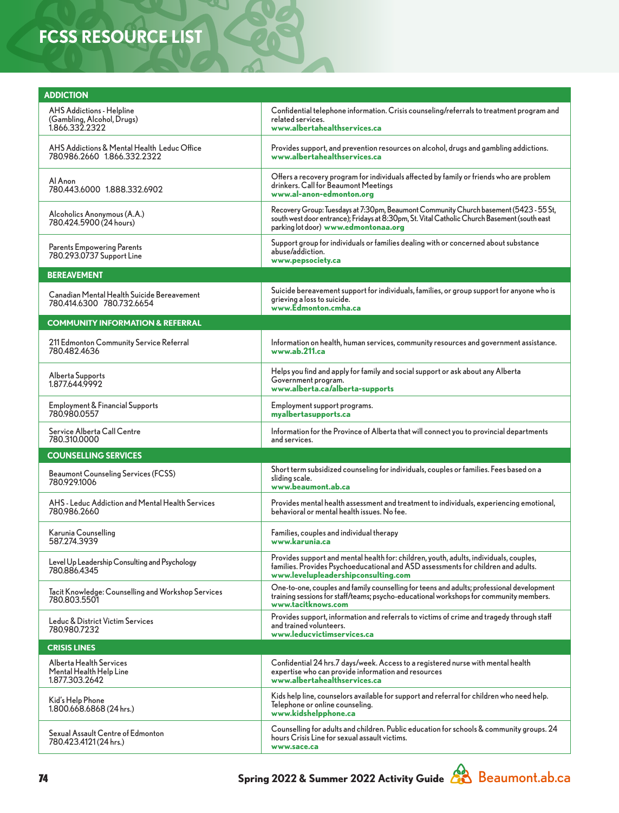## **FCSS RESOURCE LIST**

| <b>ADDICTION</b>                                                                 |                                                                                                                                                                                                                               |  |
|----------------------------------------------------------------------------------|-------------------------------------------------------------------------------------------------------------------------------------------------------------------------------------------------------------------------------|--|
| <b>AHS Addictions - Helpline</b><br>(Gambling, Alcohol, Drugs)<br>1.866.332.2322 | Confidential telephone information. Crisis counseling/referrals to treatment program and<br>related services.<br>www.albertahealthservices.ca                                                                                 |  |
| AHS Addictions & Mental Health Leduc Office<br>780.986.2660 1.866.332.2322       | Provides support, and prevention resources on alcohol, drugs and gambling addictions.<br>www.albertahealthservices.ca                                                                                                         |  |
| Al Anon<br>780.443.6000 1.888.332.6902                                           | Offers a recovery program for individuals affected by family or friends who are problem<br>drinkers. Call for Beaumont Meetings<br>www.al-anon-edmonton.org                                                                   |  |
| Alcoholics Anonymous (A.A.)<br>780.424.5900 (24 hours)                           | Recovery Group: Tuesdays at 7:30pm, Beaumont Community Church basement (5423 - 55 St,<br>south west door entrance); Fridays at 8:30pm, St. Vital Catholic Church Basement (south east<br>parking lot door) www.edmontonaa.org |  |
| Parents Empowering Parents<br>780.293.0737 Support Line                          | Support group for individuals or families dealing with or concerned about substance<br>abuse/addiction.<br>www.pepsociety.ca                                                                                                  |  |
| <b>BEREAVEMENT</b>                                                               |                                                                                                                                                                                                                               |  |
| Canadian Mental Health Suicide Bereavement<br>780.414.6300 780.732.6654          | Suicide bereavement support for individuals, families, or group support for anyone who is<br>grieving a loss to suicide.<br>www.Edmonton.cmha.ca                                                                              |  |
| <b>COMMUNITY INFORMATION &amp; REFERRAL</b>                                      |                                                                                                                                                                                                                               |  |
| 211 Edmonton Community Service Referral<br>780.482.4636                          | Information on health, human services, community resources and government assistance.<br>www.ab.211.ca                                                                                                                        |  |
| Alberta Supports<br>1.877.644.9992                                               | Helps you find and apply for family and social support or ask about any Alberta<br>Government program.<br>www.alberta.ca/alberta-supports                                                                                     |  |
| <b>Employment &amp; Financial Supports</b><br>780.980.0557                       | Employment support programs.<br>myalbertasupports.ca                                                                                                                                                                          |  |
| Service Alberta Call Centre<br>780.310.0000                                      | Information for the Province of Alberta that will connect you to provincial departments<br>and services.                                                                                                                      |  |
| <b>COUNSELLING SERVICES</b>                                                      |                                                                                                                                                                                                                               |  |
| <b>Beaumont Counseling Services (FCSS)</b><br>780.929.1006                       | Short term subsidized counseling for individuals, couples or families. Fees based on a<br>sliding scale.<br>www.beaumont.ab.ca                                                                                                |  |
| AHS - Leduc Addiction and Mental Health Services<br>780.986.2660                 | Provides mental health assessment and treatment to individuals, experiencing emotional,<br>behavioral or mental health issues. No fee.                                                                                        |  |
| Karunia Counselling<br>587.274.3939                                              | Families, couples and individual therapy<br>www.karunia.ca                                                                                                                                                                    |  |
| Level Up Leadership Consulting and Psychology<br>780.886.4345                    | Provides support and mental health for: children, youth, adults, individuals, couples,<br>families. Provides Psychoeducational and ASD assessments for children and adults.<br>www.levelupleadershipconsulting.com            |  |
| Tacit Knowledge: Counselling and Workshop Services<br>780.803.5501               | One-to-one, couples and family counselling for teens and adults; professional development<br>training sessions for staff/teams; psycho-educational workshops for community members.<br>www.tacitknows.com                     |  |
| Leduc & District Victim Services<br>780,980,7232                                 | Provides support, information and referrals to victims of crime and tragedy through staff<br>and trained volunteers.<br>www.leducvictimservices.ca                                                                            |  |
| <b>CRISIS LINES</b>                                                              |                                                                                                                                                                                                                               |  |
| Alberta Health Services<br>Mental Health Help Line<br>1.877.303.2642             | Confidential 24 hrs.7 days/week. Access to a registered nurse with mental health<br>expertise who can provide information and resources<br>www.albertahealthservices.ca                                                       |  |
| Kid's Help Phone<br>1.800.668.6868 (24 hrs.)                                     | Kids help line, counselors available for support and referral for children who need help.<br>Telephone or online counseling.<br>www.kidshelpphone.ca                                                                          |  |
| Sexual Assault Centre of Edmonton<br>780.423.4121 (24 hrs.)                      | Counselling for adults and children. Public education for schools & community groups. 24<br>hours Crisis Line for sexual assault victims.<br>www.sace.ca                                                                      |  |

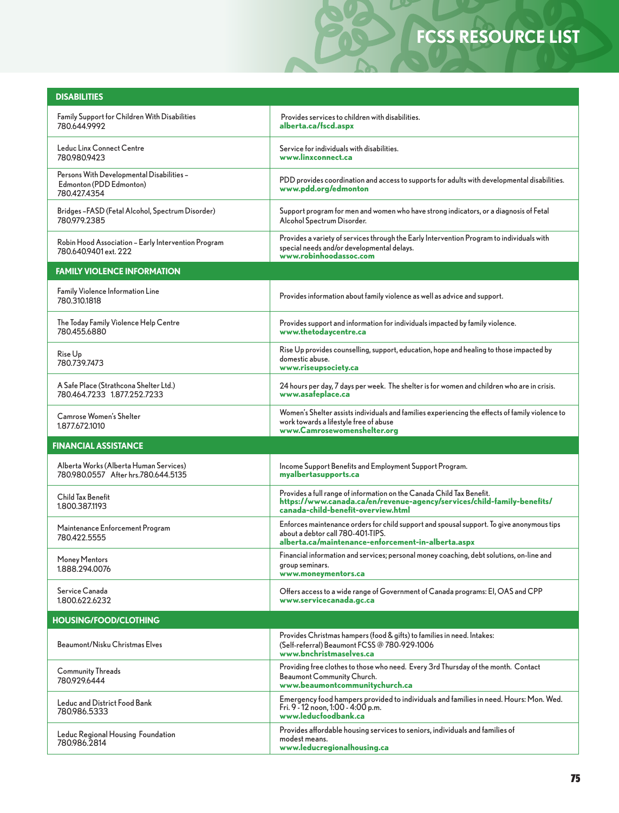## **FCSS RESOURCE LIST**

LD

| <b>DISABILITIES</b>                                                                  |                                                                                                                                                                                        |  |
|--------------------------------------------------------------------------------------|----------------------------------------------------------------------------------------------------------------------------------------------------------------------------------------|--|
| Family Support for Children With Disabilities<br>780.644.9992                        | Provides services to children with disabilities.<br>alberta.ca/fscd.aspx                                                                                                               |  |
| Leduc Linx Connect Centre<br>7809809423                                              | Service for individuals with disabilities.<br>www.linxconnect.ca                                                                                                                       |  |
| Persons With Developmental Disabilities -<br>Edmonton (PDD Edmonton)<br>780.427.4354 | PDD provides coordination and access to supports for adults with developmental disabilities.<br>www.pdd.org/edmonton                                                                   |  |
| Bridges –FASD (Fetal Alcohol, Spectrum Disorder)<br>780.979.2385                     | Support program for men and women who have strong indicators, or a diagnosis of Fetal<br>Alcohol Spectrum Disorder.                                                                    |  |
| Robin Hood Association - Early Intervention Program<br>780.640.9401 ext. 222         | Provides a variety of services through the Early Intervention Program to individuals with<br>special needs and/or developmental delays.<br>www.robinhoodassoc.com                      |  |
| <b>FAMILY VIOLENCE INFORMATION</b>                                                   |                                                                                                                                                                                        |  |
| Family Violence Information Line<br>780.310.1818                                     | Provides information about family violence as well as advice and support.                                                                                                              |  |
| The Today Family Violence Help Centre<br>780.455.6880                                | Provides support and information for individuals impacted by family violence.<br>www.thetodaycentre.ca                                                                                 |  |
| Rise Up<br>780.739.7473                                                              | Rise Up provides counselling, support, education, hope and healing to those impacted by<br>domestic abuse.<br>www.riseupsociety.ca                                                     |  |
| A Safe Place (Strathcona Shelter Ltd.)<br>780.464.7233 1.877.252.7233                | 24 hours per day, 7 days per week. The shelter is for women and children who are in crisis.<br>www.asafeplace.ca                                                                       |  |
| <b>Camrose Women's Shelter</b><br>1.877.672.1010                                     | Women's Shelter assists individuals and families experiencing the effects of family violence to<br>work towards a lifestyle free of abuse<br>www.Camrosewomenshelter.org               |  |
| <b>FINANCIAL ASSISTANCE</b>                                                          |                                                                                                                                                                                        |  |
| Alberta Works (Alberta Human Services)<br>780.980.0557 After hrs.780.644.5135        | Income Support Benefits and Employment Support Program.<br>myalbertasupports.ca                                                                                                        |  |
| Child Tax Benefit<br>1.800.387.1193                                                  | Provides a full range of information on the Canada Child Tax Benefit.<br>https://www.canada.ca/en/revenue-agency/services/child-family-benefits/<br>canada-child-benefit-overview.html |  |
| Maintenance Enforcement Program<br>780.422.5555                                      | Enforces maintenance orders for child support and spousal support. To give anonymous tips<br>about a debtor call 780-401-TIPS.<br>alberta.ca/maintenance-enforcement-in-alberta.aspx   |  |
| Money Mentors<br>1.888.294.0076                                                      | Financial information and services; personal money coaching, debt solutions, on-line and<br>group seminars.<br>www.moneymentors.ca                                                     |  |
| Service Canada<br>1.800.622.6232                                                     | Offers access to a wide range of Government of Canada programs: EI, OAS and CPP<br>www.servicecanada.gc.ca                                                                             |  |
| <b>HOUSING/FOOD/CLOTHING</b>                                                         |                                                                                                                                                                                        |  |
| Beaumont/Nisku Christmas Elves                                                       | Provides Christmas hampers (food & gifts) to families in need. Intakes:<br>(Self-referral) Beaumont FCSS @ 780-929-1006<br>www.bnchristmaselves.ca                                     |  |
| <b>Community Threads</b><br>780.929.6444                                             | Providing free clothes to those who need. Every 3rd Thursday of the month. Contact<br>Beaumont Community Church.<br>www.beaumontcommunitychurch.ca                                     |  |
| Leduc and District Food Bank<br>780,986,5333                                         | Emergency food hampers provided to individuals and families in need. Hours: Mon. Wed.<br>Fri. 9 - 12 noon, 1:00 - 4:00 p.m.<br>www.leducfoodbank.ca                                    |  |
| Leduc Regional Housing Foundation<br>780.986.2814                                    | Provides affordable housing services to seniors, individuals and families of<br>modest means.<br>www.leducregionalhousing.ca                                                           |  |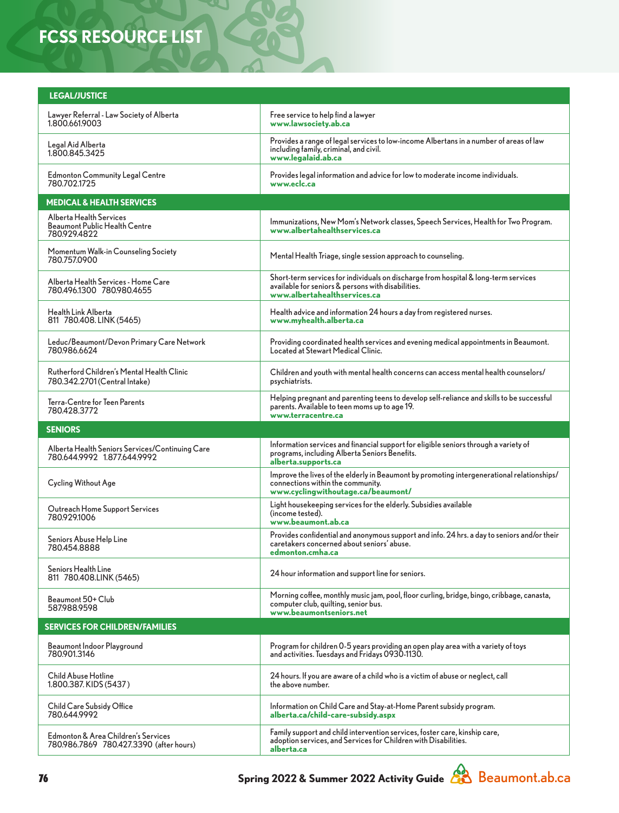## **FCSS RESOURCE LIST**

| <b>LEGAL/JUSTICE</b>                                                            |                                                                                                                                                                           |  |
|---------------------------------------------------------------------------------|---------------------------------------------------------------------------------------------------------------------------------------------------------------------------|--|
| Lawyer Referral - Law Society of Alberta<br>1.800.661.9003                      | Free service to help find a lawyer<br>www.lawsociety.ab.ca                                                                                                                |  |
| Legal Aid Alberta<br>1.800.845.3425                                             | Provides a range of legal services to low-income Albertans in a number of areas of law<br>including family, criminal, and civil.<br>www.legalaid.ab.ca                    |  |
| Edmonton Community Legal Centre<br>780.702.1725                                 | Provides legal information and advice for low to moderate income individuals.<br>www.eclc.ca                                                                              |  |
| <b>MEDICAL &amp; HEALTH SERVICES</b>                                            |                                                                                                                                                                           |  |
| Alberta Health Services<br><b>Beaumont Public Health Centre</b><br>780.929.4822 | Immunizations, New Mom's Network classes, Speech Services, Health for Two Program.<br>www.albertahealthservices.ca                                                        |  |
| Momentum Walk-in Counseling Society<br>780.757.0900                             | Mental Health Triage, single session approach to counseling.                                                                                                              |  |
| Alberta Health Services - Home Care<br>780.496.1300 780.980.4655                | Short-term services for individuals on discharge from hospital & long-term services<br>available for seniors & persons with disabilities.<br>www.albertahealthservices.ca |  |
| Health Link Alberta<br>811 780.408. LINK (5465)                                 | Health advice and information 24 hours a day from registered nurses.<br>www.myhealth.alberta.ca                                                                           |  |
| Leduc/Beaumont/Devon Primary Care Network<br>780.986.6624                       | Providing coordinated health services and evening medical appointments in Beaumont.<br>Located at Stewart Medical Clinic.                                                 |  |
| Rutherford Children's Mental Health Clinic<br>780.342.2701 (Central Intake)     | Children and youth with mental health concerns can access mental health counselors/<br>psychiatrists.                                                                     |  |
| Terra-Centre for Teen Parents<br>780.428.3772                                   | Helping pregnant and parenting teens to develop self-reliance and skills to be successful<br>parents. Available to teen moms up to age 19.<br>www.terracentre.ca          |  |
| <b>SENIORS</b>                                                                  |                                                                                                                                                                           |  |
|                                                                                 |                                                                                                                                                                           |  |
| Alberta Health Seniors Services/Continuing Care<br>780.644.9992 1.877.644.9992  | Information services and financial support for eligible seniors through a variety of<br>programs, including Alberta Seniors Benefits.<br>alberta.supports.ca              |  |
| <b>Cycling Without Age</b>                                                      | Improve the lives of the elderly in Beaumont by promoting intergenerational relationships/<br>connections within the community.<br>www.cyclingwithoutage.ca/beaumont/     |  |
| Outreach Home Support Services<br>780.929.1006                                  | Light housekeeping services for the elderly. Subsidies available<br>(income tested).<br>www.beaumont.ab.ca                                                                |  |
| Seniors Abuse Help Line<br>780.454.8888                                         | Provides confidential and anonymous support and info. 24 hrs. a day to seniors and/or their<br>caretakers concerned about seniors' abuse.<br>edmonton.cmha.ca             |  |
| Seniors Health Line<br>811 780.408.LINK (5465)                                  | 24 hour information and support line for seniors.                                                                                                                         |  |
| Beaumont 50+ Club<br>587.988.9598                                               | Morning coffee, monthly music jam, pool, floor curling, bridge, bingo, cribbage, canasta,<br>computer club, quilting, senior bus.<br>www.beaumontseniors.net              |  |
| <b>SERVICES FOR CHILDREN/FAMILIES</b>                                           |                                                                                                                                                                           |  |
| Beaumont Indoor Playground<br>780.901.3146                                      | Program for children 0-5 years providing an open play area with a variety of toys<br>and activities. Tuesdays and Fridays 0930-1130.                                      |  |
| Child Abuse Hotline<br>1.800.387. KIDS (5437)                                   | 24 hours. If you are aware of a child who is a victim of abuse or neglect, call<br>the above number.                                                                      |  |
| Child Care Subsidy Office<br>780.644.9992                                       | Information on Child Care and Stay-at-Home Parent subsidy program.<br>alberta.ca/child-care-subsidy.aspx                                                                  |  |